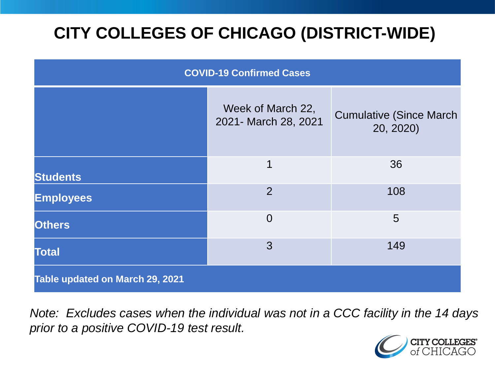# **CITY COLLEGES OF CHICAGO (DISTRICT-WIDE)**

| <b>COVID-19 Confirmed Cases</b> |                                           |                                              |
|---------------------------------|-------------------------------------------|----------------------------------------------|
|                                 | Week of March 22,<br>2021- March 28, 2021 | <b>Cumulative (Since March)</b><br>20, 2020) |
| <b>Students</b>                 | 1                                         | 36                                           |
| <b>Employees</b>                | $\overline{2}$                            | 108                                          |
| <b>Others</b>                   | $\overline{0}$                            | 5                                            |
| <b>Total</b>                    | 3                                         | 149                                          |
| Table updated on March 29, 2021 |                                           |                                              |

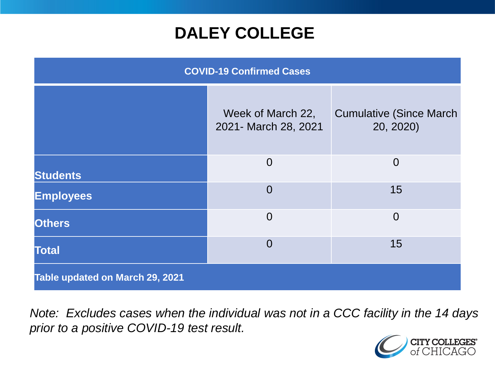## **DALEY COLLEGE**

| <b>COVID-19 Confirmed Cases</b> |                                           |                                              |
|---------------------------------|-------------------------------------------|----------------------------------------------|
|                                 | Week of March 22,<br>2021- March 28, 2021 | <b>Cumulative (Since March)</b><br>20, 2020) |
| <b>Students</b>                 | $\overline{0}$                            | $\overline{0}$                               |
| <b>Employees</b>                | $\overline{0}$                            | 15                                           |
| <b>Others</b>                   | $\overline{0}$                            | $\overline{0}$                               |
| <b>Total</b>                    | $\overline{0}$                            | 15                                           |
| Table updated on March 29, 2021 |                                           |                                              |

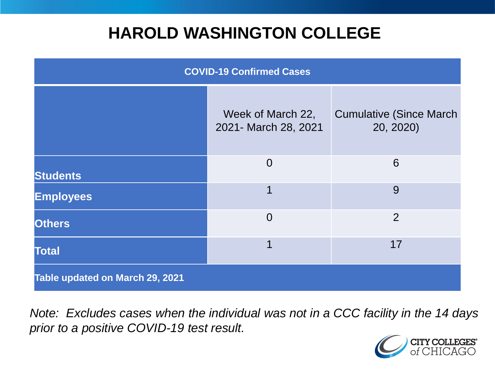## **HAROLD WASHINGTON COLLEGE**

| <b>COVID-19 Confirmed Cases</b> |                                           |                                              |
|---------------------------------|-------------------------------------------|----------------------------------------------|
|                                 | Week of March 22,<br>2021- March 28, 2021 | <b>Cumulative (Since March)</b><br>20, 2020) |
| <b>Students</b>                 | $\overline{0}$                            | 6                                            |
| <b>Employees</b>                | 1                                         | 9                                            |
| <b>Others</b>                   | $\overline{0}$                            | $\overline{2}$                               |
| <b>Total</b>                    | 1                                         | 17                                           |
| Table updated on March 29, 2021 |                                           |                                              |

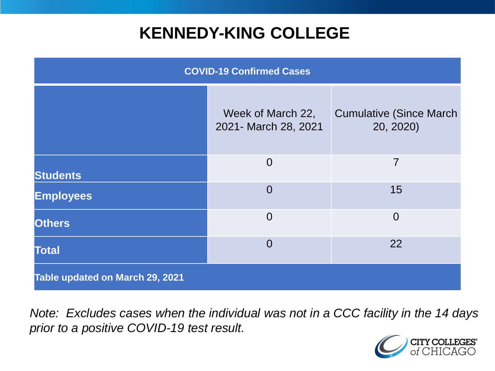## **KENNEDY-KING COLLEGE**

| <b>COVID-19 Confirmed Cases</b> |                                           |                                              |
|---------------------------------|-------------------------------------------|----------------------------------------------|
|                                 | Week of March 22,<br>2021- March 28, 2021 | <b>Cumulative (Since March)</b><br>20, 2020) |
| <b>Students</b>                 | $\overline{0}$                            | 7                                            |
| <b>Employees</b>                | $\Omega$                                  | 15                                           |
| <b>Others</b>                   | $\overline{0}$                            | $\overline{0}$                               |
| <b>Total</b>                    | $\overline{0}$                            | 22                                           |
| Table updated on March 29, 2021 |                                           |                                              |

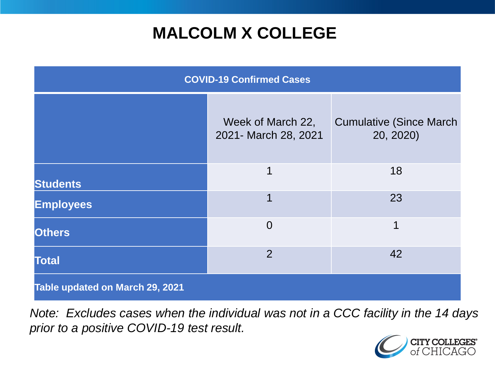# **MALCOLM X COLLEGE**

| <b>COVID-19 Confirmed Cases</b> |                                           |                                              |
|---------------------------------|-------------------------------------------|----------------------------------------------|
|                                 | Week of March 22,<br>2021- March 28, 2021 | <b>Cumulative (Since March)</b><br>20, 2020) |
| <b>Students</b>                 | 1                                         | 18                                           |
| <b>Employees</b>                | 1                                         | 23                                           |
| <b>Others</b>                   | $\overline{0}$                            | 1                                            |
| <b>Total</b>                    | $\overline{2}$                            | 42                                           |
| Table updated on March 29, 2021 |                                           |                                              |

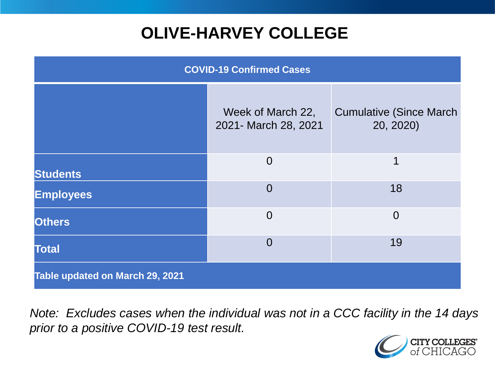# **OLIVE-HARVEY COLLEGE**

| <b>COVID-19 Confirmed Cases</b> |                                           |                                              |
|---------------------------------|-------------------------------------------|----------------------------------------------|
|                                 | Week of March 22,<br>2021- March 28, 2021 | <b>Cumulative (Since March)</b><br>20, 2020) |
| <b>Students</b>                 | $\overline{0}$                            | 1                                            |
| <b>Employees</b>                | $\overline{0}$                            | 18                                           |
| <b>Others</b>                   | $\Omega$                                  | $\overline{0}$                               |
| <b>Total</b>                    | $\overline{0}$                            | 19                                           |
| Table updated on March 29, 2021 |                                           |                                              |

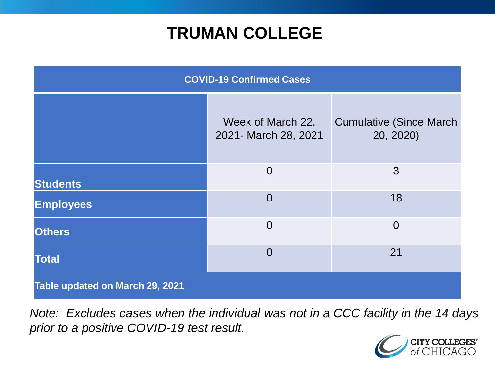## **TRUMAN COLLEGE**

| <b>COVID-19 Confirmed Cases</b> |                                           |                                              |
|---------------------------------|-------------------------------------------|----------------------------------------------|
|                                 | Week of March 22,<br>2021- March 28, 2021 | <b>Cumulative (Since March)</b><br>20, 2020) |
| <b>Students</b>                 | $\overline{0}$                            | 3                                            |
| <b>Employees</b>                | $\overline{0}$                            | 18                                           |
| <b>Others</b>                   | $\overline{0}$                            | $\overline{0}$                               |
| <b>Total</b>                    | $\overline{0}$                            | 21                                           |
| Table updated on March 29, 2021 |                                           |                                              |

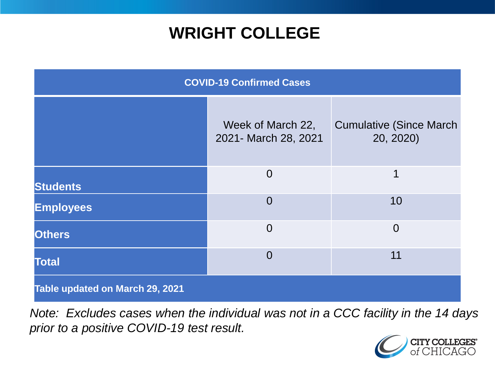## **WRIGHT COLLEGE**

| <b>COVID-19 Confirmed Cases</b> |                                           |                                              |
|---------------------------------|-------------------------------------------|----------------------------------------------|
|                                 | Week of March 22,<br>2021- March 28, 2021 | <b>Cumulative (Since March)</b><br>20, 2020) |
| <b>Students</b>                 | $\overline{0}$                            | 1                                            |
| <b>Employees</b>                | $\overline{0}$                            | 10                                           |
| <b>Others</b>                   | $\overline{0}$                            | $\overline{0}$                               |
| <b>Total</b>                    | $\Omega$                                  | 11                                           |
| Table updated on March 29, 2021 |                                           |                                              |